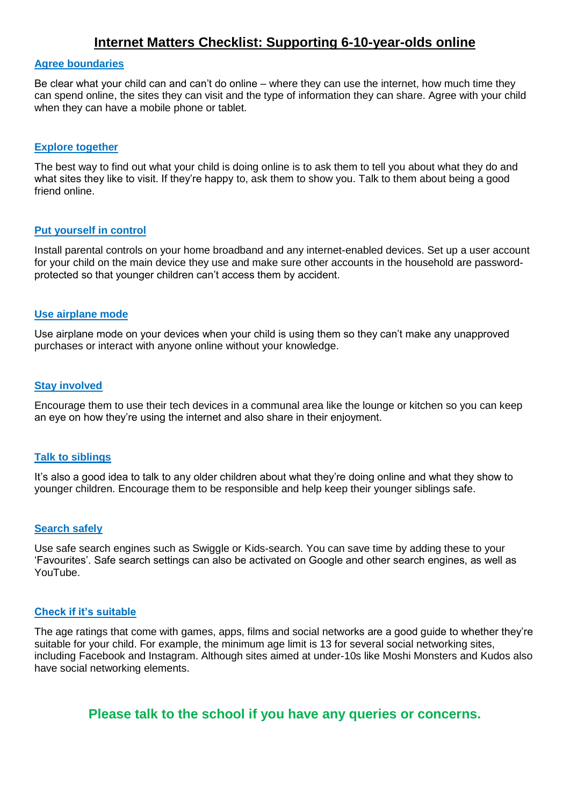# **Internet Matters Checklist: Supporting 6-10-year-olds online**

### **Agree boundaries**

Be clear what your child can and can't do online – where they can use the internet, how much time they can spend online, the sites they can visit and the type of information they can share. Agree with your child when they can have a mobile phone or tablet.

### **Explore together**

The best way to find out what your child is doing online is to ask them to tell you about what they do and what sites they like to visit. If they're happy to, ask them to show you. Talk to them about being a good friend online.

### **Put yourself in control**

Install parental controls on your home broadband and any internet-enabled devices. Set up a user account for your child on the main device they use and make sure other accounts in the household are passwordprotected so that younger children can't access them by accident.

### **Use airplane mode**

Use airplane mode on your devices when your child is using them so they can't make any unapproved purchases or interact with anyone online without your knowledge.

### **Stay involved**

Encourage them to use their tech devices in a communal area like the lounge or kitchen so you can keep an eye on how they're using the internet and also share in their enjoyment.

### **Talk to siblings**

It's also a good idea to talk to any older children about what they're doing online and what they show to younger children. Encourage them to be responsible and help keep their younger siblings safe.

#### **Search safely**

Use safe search engines such as Swiggle or Kids-search. You can save time by adding these to your 'Favourites'. Safe search settings can also be activated on Google and other search engines, as well as YouTube.

### **Check if it's suitable**

The age ratings that come with games, apps, films and social networks are a good guide to whether they're suitable for your child. For example, the minimum age limit is 13 for several social networking sites, including Facebook and Instagram. Although sites aimed at under-10s like Moshi Monsters and Kudos also have social networking elements.

## **Please talk to the school if you have any queries or concerns.**